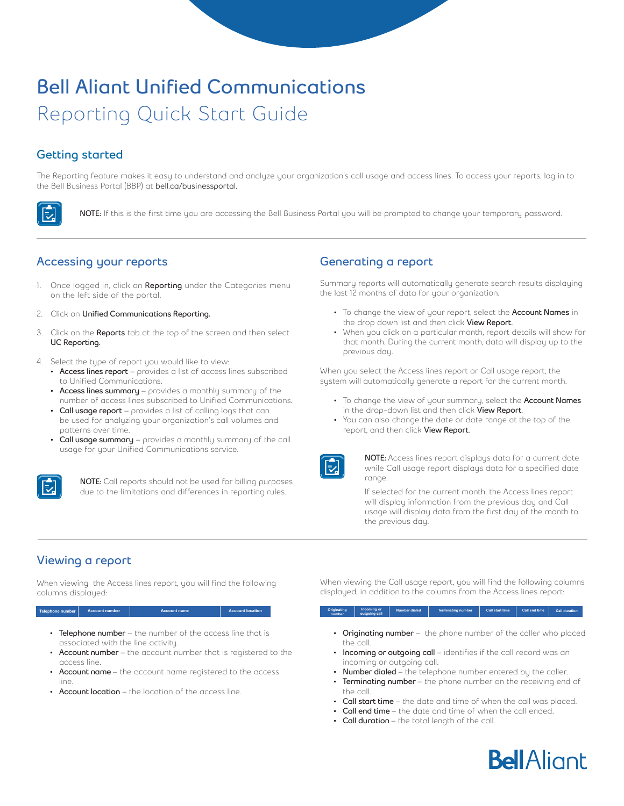# **Bell Aliant Unified Communications**  Reporting Quick Start Guide

## **Getting started**

シ

The Reporting feature makes it easy to understand and analyze your organization's call usage and access lines. To access your reports, log in to the Bell Business Portal (BBP) at **bell.ca/businessportal.**

**NOTE:** If this is the first time you are accessing the Bell Business Portal you will be prompted to change your temporary password.

### **Accessing your reports**

- 1. Once logged in, click on **Reporting** under the Categories menu on the left side of the portal.
- 2. Click on **Unified Communications Reporting.**
- 3. Click on the **Reports** tab at the top of the screen and then select **UC Reporting.**
- 4. Select the type of report you would like to view:
	- **• Access lines report** provides a list of access lines subscribed to Unified Communications.
	- **• Access lines summary**  provides a monthly summary of the number of access lines subscribed to Unified Communications.
	- **• Call usage report** provides a list of calling logs that can be used for analyzing your organization's call volumes and patterns over time.
	- **• Call usage summary** provides a monthly summary of the call usage for your Unified Communications service.



**NOTE:** Call reports should not be used for billing purposes due to the limitations and differences in reporting rules.

### **Generating a report**

Summary reports will automatically generate search results displaying the last 12 months of data for your organization.

- To change the view of your report, select the **Account Names** in the drop down list and then click **View Report.**
- When you click on a particular month, report details will show for that month. During the current month, data will display up to the previous day.

When you select the Access lines report or Call usage report, the system will automatically generate a report for the current month.

- To change the view of your summary, select the **Account Names** in the drop-down list and then click **View Report**.
- You can also change the date or date range at the top of the report, and then click **View Report**.



**NOTE:** Access lines report displays data for a current date while Call usage report displays data for a specified date range.

If selected for the current month, the Access lines report will display information from the previous day and Call usage will display data from the first day of the month to the previous day.

### **Viewing a report**

When viewing the Access lines report, you will find the following columns displayed:

### **The number Account number**

- **• Telephone number** the number of the access line that is associated with the line activity.
- **• Account number**  the account number that is registered to the access line.
- **• Account name**  the account name registered to the access line.
- **• Account location** the location of the access line.

When viewing the Call usage report, you will find the following columns displayed, in addition to the columns from the Access lines report:

### **number Incoming or outgoing call Number dialed Terminating number Call start time Call end time Call duration**

- **• Originating number** the phone number of the caller who placed the call.
- **Incoming or outgoing call** identifies if the call record was an incoming or outgoing call.
- **• Number dialed**  the telephone number entered by the caller.
- **• Terminating number**  the phone number on the receiving end of the call.
- **• Call start time**  the date and time of when the call was placed.
- **• Call end time**  the date and time of when the call ended.
- **• Call duration**  the total length of the call.